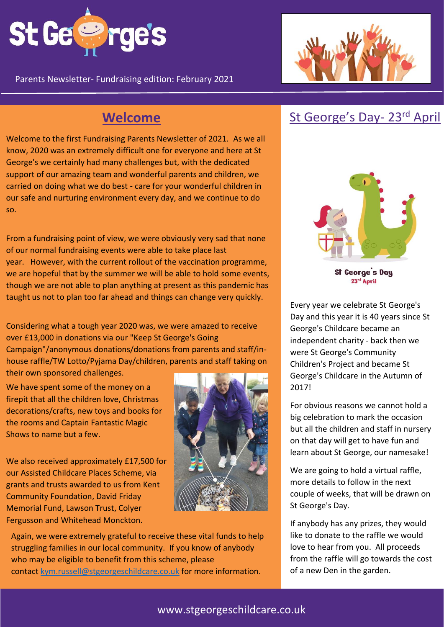

Parents Newsletter- Fundraising edition: February 2021

Welcome to the first Fundraising Parents Newsletter of 2021. As we all know, 2020 was an extremely difficult one for everyone and here at St George's we certainly had many challenges but, with the dedicated support of our amazing team and wonderful parents and children, we carried on doing what we do best - care for your wonderful children in our safe and nurturing environment every day, and we continue to do so.

From a fundraising point of view, we were obviously very sad that none of our normal fundraising events were able to take place last year. However, with the current rollout of the vaccination programme, we are hopeful that by the summer we will be able to hold some events, though we are not able to plan anything at present as this pandemic has taught us not to plan too far ahead and things can change very quickly.

Considering what a tough year 2020 was, we were amazed to receive over £13,000 in donations via our "Keep St George's Going Campaign"/anonymous donations/donations from parents and staff/inhouse raffle/TW Lotto/Pyjama Day/children, parents and staff taking on their own sponsored challenges.

We have spent some of the money on a firepit that all the children love, Christmas decorations/crafts, new toys and books for the rooms and Captain Fantastic Magic Shows to name but a few.

We also received approximately £17,500 for our Assisted Childcare Places Scheme, via grants and trusts awarded to us from Kent Community Foundation, David Friday Memorial Fund, Lawson Trust, Colyer Fergusson and Whitehead Monckton.



Again, we were extremely grateful to receive these vital funds to help struggling families in our local community. If you know of anybody who may be eligible to benefit from this scheme, please contact [kym.russell@stgeorgeschildcare.co.uk](mailto:kym.russell@stgeorgeschildcare.co.uk) for more information.



# **Welcome** St George's Day- 23<sup>rd</sup> April



St George's Day 23rd April

Every year we celebrate St George's Day and this year it is 40 years since St George's Childcare became an independent charity - back then we were St George's Community Children's Project and became St George's Childcare in the Autumn of 2017!

For obvious reasons we cannot hold a big celebration to mark the occasion but all the children and staff in nursery on that day will get to have fun and learn about St George, our namesake!

We are going to hold a virtual raffle, more details to follow in the next couple of weeks, that will be drawn on St George's Day.

If anybody has any prizes, they would like to donate to the raffle we would love to hear from you. All proceeds from the raffle will go towards the cost of a new Den in the garden.

### www.stgeorgeschildcare.co.uk